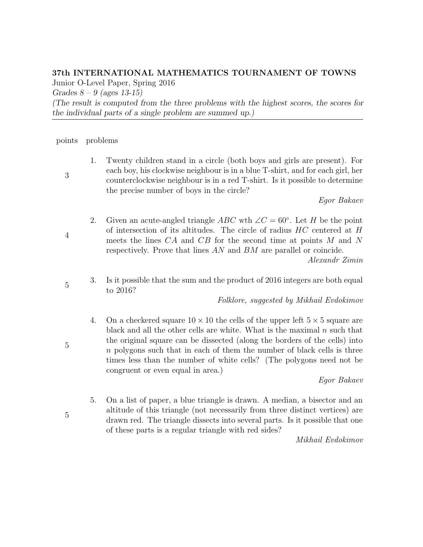## 37th INTERNATIONAL MATHEMATICS TOURNAMENT OF TOWNS

Junior O-Level Paper, Spring 2016

Grades  $8 - 9$  (ages 13-15)

(The result is computed from the three problems with the highest scores, the scores for the individual parts of a single problem are summed up.)

points problems

1. Twenty children stand in a circle (both boys and girls are present). For each boy, his clockwise neighbour is in a blue T-shirt, and for each girl, her counterclockwise neighbour is in a red T-shirt. Is it possible to determine the precise number of boys in the circle?

Egor Bakaev

2. Given an acute-angled triangle ABC wth  $\angle C = 60^\circ$ . Let H be the point of intersection of its altitudes. The circle of radius HC centered at H meets the lines CA and CB for the second time at points M and N respectively. Prove that lines AN and BM are parallel or coincide.

Alexandr Zimin

3. Is it possible that the sum and the product of 2016 integers are both equal to 2016?

Folklore, suggested by Mikhail Evdokimov

4. On a checkered square  $10 \times 10$  the cells of the upper left  $5 \times 5$  square are black and all the other cells are white. What is the maximal  $n$  such that the original square can be dissected (along the borders of the cells) into n polygons such that in each of them the number of black cells is three times less than the number of white cells? (The polygons need not be congruent or even equal in area.)

Egor Bakaev

5. On a list of paper, a blue triangle is drawn. A median, a bisector and an altitude of this triangle (not necessarily from three distinct vertices) are drawn red. The triangle dissects into several parts. Is it possible that one of these parts is a regular triangle with red sides?

Mikhail Evdokimov

5

5

5

4

3